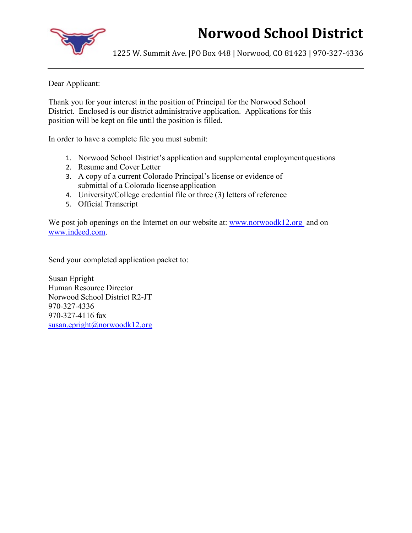# **Norwood School District**

1225 W. Summit Ave. |PO Box 448 | Norwood, CO 81423 | 970-327-4336

Dear Applicant:

Thank you for your interest in the position of Principal for the Norwood School District. Enclosed is our district administrative application. Applications for this position will be kept on file until the position is filled.

In order to have a complete file you must submit:

- 1. Norwood School District's application and supplemental employment questions
- 2. Resume and Cover Letter
- 3. A copy of a current Colorado Principal's license or evidence of submittal of a Colorado license application
- 4. University/College credential file or three (3) letters of reference
- 5. Official Transcript

We post job openings on the Internet on our website at: [www.norwoodk12.org](http://www.norwoodk12.org/) and on [www.indeed.com.](http://www.indeed.com/)

Send your completed application packet to:

Susan Epright Human Resource Director Norwood School District R2-JT 970-327-4336 970-327-4116 fax [susan.epright@norwoodk12.org](mailto:susan.epright@norwoodk12.org)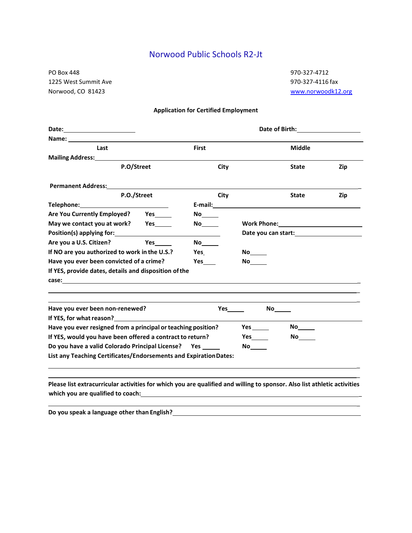## Norwood Public Schools R2-Jt

PO Box 448 970-327-4712 1225 West Summit Ave **970-327-4116** fax Norwood, CO 81423 [www.norwoodk12.org](http://www.norwoodk12.org/)

\_

\_

#### **Application for Certified Employment**

| Date: ______________________                                                                                                                                                                                                   | Date of Birth: National Property of Birth:                                                                      |                                                                                                                 |                                                                                                                                                                                                                                |               |  |
|--------------------------------------------------------------------------------------------------------------------------------------------------------------------------------------------------------------------------------|-----------------------------------------------------------------------------------------------------------------|-----------------------------------------------------------------------------------------------------------------|--------------------------------------------------------------------------------------------------------------------------------------------------------------------------------------------------------------------------------|---------------|--|
|                                                                                                                                                                                                                                |                                                                                                                 |                                                                                                                 |                                                                                                                                                                                                                                |               |  |
| Last                                                                                                                                                                                                                           | First                                                                                                           |                                                                                                                 |                                                                                                                                                                                                                                | <b>Middle</b> |  |
| Mailing Address: Mailing Address:                                                                                                                                                                                              |                                                                                                                 |                                                                                                                 |                                                                                                                                                                                                                                |               |  |
| P.O/Street                                                                                                                                                                                                                     | City                                                                                                            |                                                                                                                 | <b>State</b>                                                                                                                                                                                                                   | Zip           |  |
| Permanent Address:<br><u> </u>                                                                                                                                                                                                 |                                                                                                                 |                                                                                                                 |                                                                                                                                                                                                                                |               |  |
| P.O./Street                                                                                                                                                                                                                    | City                                                                                                            |                                                                                                                 | <b>State</b>                                                                                                                                                                                                                   | Zip           |  |
| Telephone: Telephone:                                                                                                                                                                                                          |                                                                                                                 |                                                                                                                 | E-mail: E-mail: All and the state of the state of the state of the state of the state of the state of the state of the state of the state of the state of the state of the state of the state of the state of the state of the |               |  |
| Are You Currently Employed? Yes                                                                                                                                                                                                |                                                                                                                 |                                                                                                                 |                                                                                                                                                                                                                                |               |  |
| May we contact you at work?                                                                                                                                                                                                    | No control of the set of the set of the set of the set of the set of the set of the set of the set of the set o |                                                                                                                 | Work Phone: Work 2008                                                                                                                                                                                                          |               |  |
| Position(s) applying for:                                                                                                                                                                                                      |                                                                                                                 |                                                                                                                 | Date you can start:<br><u>Date you can start:</u>                                                                                                                                                                              |               |  |
| Are you a U.S. Citizen?<br>Yes                                                                                                                                                                                                 | No the set of the set of the set of the set of the set of the set of the set of the set of the set of the set o |                                                                                                                 |                                                                                                                                                                                                                                |               |  |
| If NO are you authorized to work in the U.S.?                                                                                                                                                                                  | Yes                                                                                                             | No lim                                                                                                          |                                                                                                                                                                                                                                |               |  |
| Have you ever been convicted of a crime?<br>Yes                                                                                                                                                                                |                                                                                                                 | No the set of the set of the set of the set of the set of the set of the set of the set of the set of the set o |                                                                                                                                                                                                                                |               |  |
| If YES, provide dates, details and disposition of the                                                                                                                                                                          |                                                                                                                 |                                                                                                                 |                                                                                                                                                                                                                                |               |  |
| Have you ever been non-renewed?                                                                                                                                                                                                |                                                                                                                 |                                                                                                                 |                                                                                                                                                                                                                                |               |  |
| If YES, for what reason? The state of the state of the state of the state of the state of the state of the state of the state of the state of the state of the state of the state of the state of the state of the state of th |                                                                                                                 |                                                                                                                 |                                                                                                                                                                                                                                |               |  |
| Have you ever resigned from a principal or teaching position?                                                                                                                                                                  |                                                                                                                 | Yes $\_\_\_\_\_\_\$                                                                                             | No lim                                                                                                                                                                                                                         |               |  |
| If YES, would you have been offered a contract to return?                                                                                                                                                                      |                                                                                                                 |                                                                                                                 | No the set of the set of the set of the set of the set of the set of the set of the set of the set of the set o                                                                                                                |               |  |
| Do you have a valid Colorado Principal License? Yes _____                                                                                                                                                                      |                                                                                                                 |                                                                                                                 |                                                                                                                                                                                                                                |               |  |
| List any Teaching Certificates/Endorsements and Expiration Dates:                                                                                                                                                              |                                                                                                                 |                                                                                                                 |                                                                                                                                                                                                                                |               |  |

**Please list extracurricular activities for which you are qualified and willing to sponsor. Also list athletic activities which you are qualified to coach:** \_

<u> 1989 - Johann John Harry Barbara, martin a shekara 1989 - 1989 - 1989 - 1989 - 1989 - 1989 - 1989 - 1989 - 19</u>

**Do you speak a language other than English?**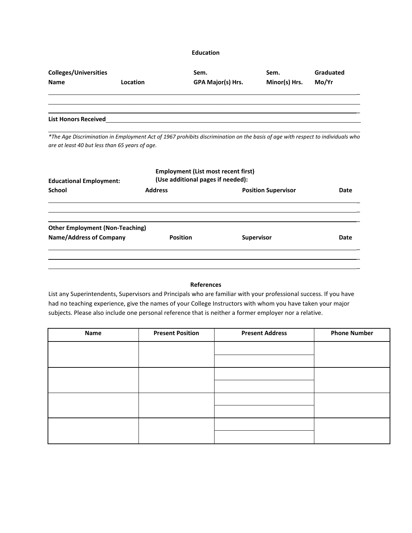#### **Education**

| <b>Colleges/Universities</b> | <b>Location</b> | Sem.              | Sem.          | Graduated |
|------------------------------|-----------------|-------------------|---------------|-----------|
| <b>Name</b>                  |                 | GPA Major(s) Hrs. | Minor(s) Hrs. | Mo/Yr     |
| <b>List Honors Received</b>  |                 |                   |               |           |

*\*The Age Discrimination in Employment Act of 1967 prohibits discrimination on the basis of age with respect to individuals who are at least 40 but less than 65 years of age.*

| <b>Educational Employment:</b>         | <b>Employment (List most recent first)</b><br>(Use additional pages if needed): |                            |      |  |
|----------------------------------------|---------------------------------------------------------------------------------|----------------------------|------|--|
| <b>School</b>                          | <b>Address</b>                                                                  | <b>Position Supervisor</b> | Date |  |
|                                        |                                                                                 |                            |      |  |
| <b>Other Employment (Non-Teaching)</b> |                                                                                 |                            |      |  |
| <b>Name/Address of Company</b>         | <b>Position</b>                                                                 | <b>Supervisor</b>          | Date |  |
|                                        |                                                                                 |                            |      |  |
|                                        |                                                                                 |                            |      |  |

### **References**

List any Superintendents, Supervisors and Principals who are familiar with your professional success. If you have had no teaching experience, give the names of your College Instructors with whom you have taken your major subjects. Please also include one personal reference that is neither a former employer nor a relative.

| Name | <b>Present Position</b> | <b>Present Address</b> | <b>Phone Number</b> |
|------|-------------------------|------------------------|---------------------|
|      |                         |                        |                     |
|      |                         |                        |                     |
|      |                         |                        |                     |
|      |                         |                        |                     |
|      |                         |                        |                     |
|      |                         |                        |                     |
|      |                         |                        |                     |
|      |                         |                        |                     |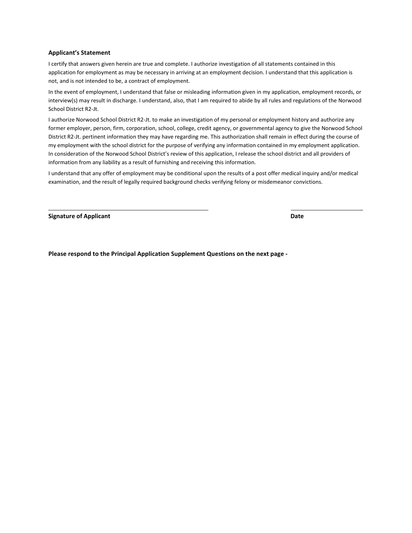#### **Applicant's Statement**

I certify that answers given herein are true and complete. I authorize investigation of all statements contained in this application for employment as may be necessary in arriving at an employment decision. I understand that this application is not, and is not intended to be, a contract of employment.

In the event of employment, I understand that false or misleading information given in my application, employment records, or interview(s) may result in discharge. I understand, also, that I am required to abide by all rules and regulations of the Norwood School District R2-Jt.

I authorize Norwood School District R2-Jt. to make an investigation of my personal or employment history and authorize any former employer, person, firm, corporation, school, college, credit agency, or governmental agency to give the Norwood School District R2-Jt. pertinent information they may have regarding me. This authorization shall remain in effect during the course of my employment with the school district for the purpose of verifying any information contained in my employment application. In consideration of the Norwood School District's review of this application, I release the school district and all providers of information from any liability as a result of furnishing and receiving this information.

I understand that any offer of employment may be conditional upon the results of a post offer medical inquiry and/or medical examination, and the result of legally required background checks verifying felony or misdemeanor convictions.

**Signature of Applicant Date**

\_

**Please respond to the Principal Application Supplement Questions on the next page -**